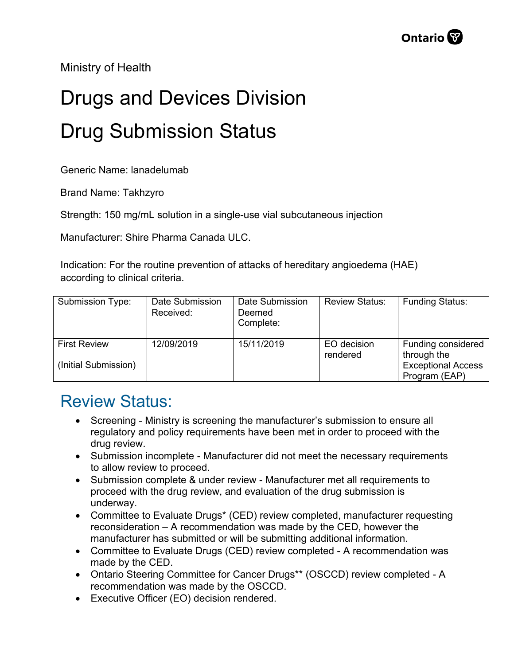Ministry of Health

## Drugs and Devices Division Drug Submission Status

Generic Name: lanadelumab

Brand Name: Takhzyro

Strength: 150 mg/mL solution in a single-use vial subcutaneous injection

Manufacturer: Shire Pharma Canada ULC.

Indication: For the routine prevention of attacks of hereditary angioedema (HAE) according to clinical criteria.

| <b>Submission Type:</b>                     | Date Submission<br>Received: | Date Submission<br>Deemed<br>Complete: | <b>Review Status:</b>   | <b>Funding Status:</b>                                                          |
|---------------------------------------------|------------------------------|----------------------------------------|-------------------------|---------------------------------------------------------------------------------|
| <b>First Review</b><br>(Initial Submission) | 12/09/2019                   | 15/11/2019                             | EO decision<br>rendered | Funding considered<br>through the<br><b>Exceptional Access</b><br>Program (EAP) |

## Review Status:

- Screening Ministry is screening the manufacturer's submission to ensure all regulatory and policy requirements have been met in order to proceed with the drug review.
- Submission incomplete Manufacturer did not meet the necessary requirements to allow review to proceed.
- Submission complete & under review Manufacturer met all requirements to proceed with the drug review, and evaluation of the drug submission is underway.
- Committee to Evaluate Drugs\* (CED) review completed, manufacturer requesting reconsideration – A recommendation was made by the CED, however the manufacturer has submitted or will be submitting additional information.
- Committee to Evaluate Drugs (CED) review completed A recommendation was made by the CED.
- Ontario Steering Committee for Cancer Drugs\*\* (OSCCD) review completed A recommendation was made by the OSCCD.
- Executive Officer (EO) decision rendered.